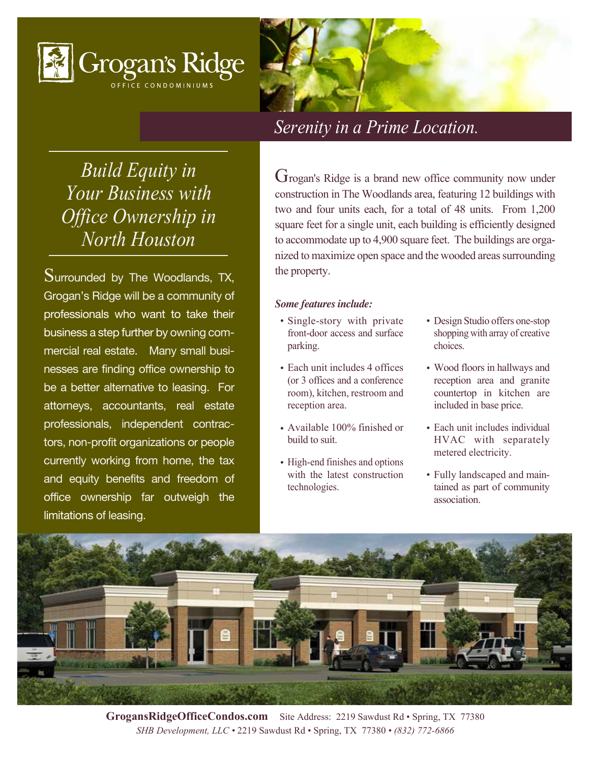



*Build Equity in Your Business with Office Ownership in North Houston*

Surrounded by The Woodlands, TX, Grogan's Ridge will be a community of professionals who want to take their business a step further by owning commercial real estate. Many small businesses are finding office ownership to be a better alternative to leasing. For attorneys, accountants, real estate professionals, independent contractors, non-profit organizations or people currently working from home, the tax and equity benefits and freedom of office ownership far outweigh the limitations of leasing. Ī

Grogan's Ridge is a brand new office community now under construction in The Woodlands area, featuring 12 buildings with two and four units each, for a total of 48 units. From 1,200 square feet for a single unit, each building is efficiently designed to accommodate up to 4,900 square feet. The buildings are organized to maximize open space and the wooded areas surrounding the property.

## *Some features include:*

- Single-story with private front-door access and surface parking. • Single-story with private • Design Studio offers one-stop
- Each unit includes 4 offices (or 3 offices and a conference room), kitchen, restroom and reception area.
- Available 100% finished or build to suit.
- High-end finishes and options with the latest construction technologies.
- shopping with array of creative choices.
- Wood floors in hallways and reception area and granite countertop in kitchen are included in base price.
- Each unit includes individual HVAC with separately metered electricity.
- Fully landscaped and main-• tained as part of community association.



**GrogansRidgeOfficeCondos.com** Site Address: 2219 Sawdust Rd • Spring, TX 77380 *SHB Development, LLC •* 2219 Sawdust Rd • Spring, TX 77380 *• (832) 772-6866*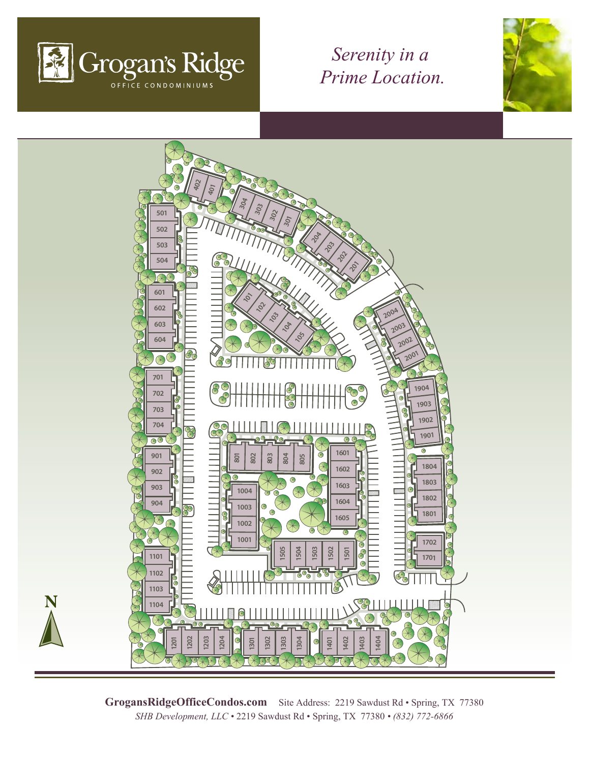





GrogansRidgeOfficeCondos.com Site Address: 2219 Sawdust Rd · Spring, TX 77380 *SHB Development, LLC •* 2219 Sawdust Rd • Spring, TX 77380 *• (832) 772-6866*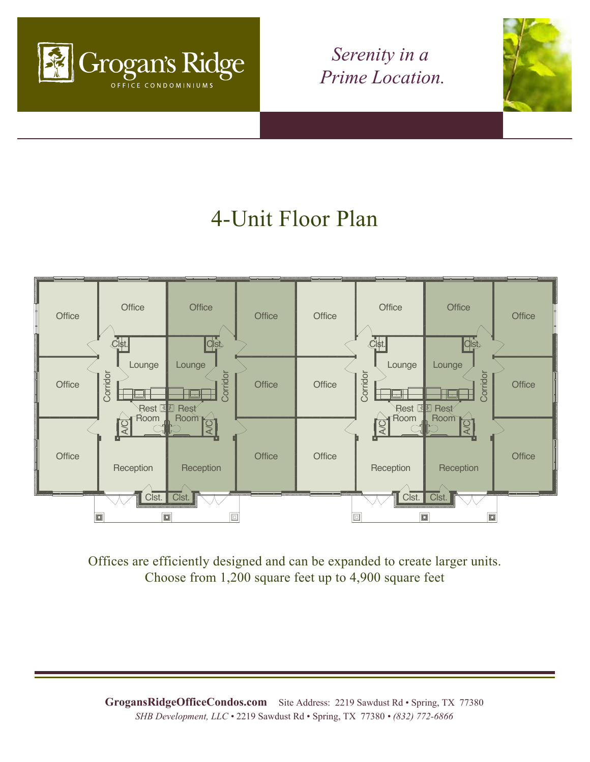



## 4-Unit Floor Plan



Offices are efficiently designed and can be expanded to create larger units. Choose from 1,200 square feet up to 4,900 square feet